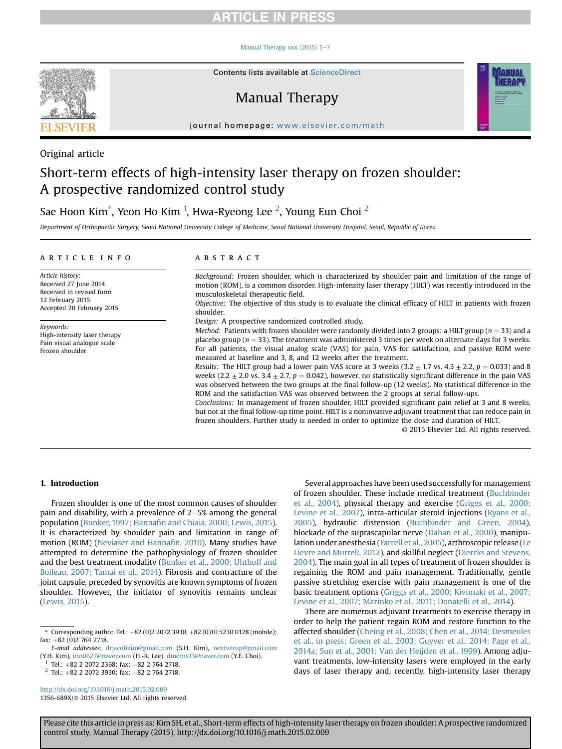#### Manual Therapy xxx (2015)  $1-7$  $1-7$



# Manual Therapy



journal homepage: [www.elsevier.com/math](http://www.elsevier.com/math)

### Original article

# Short-term effects of high-intensity laser therapy on frozen shoulder: A prospective randomized control study

### Sae Hoon Kim $^*$ , Yeon Ho Kim $\,$  1, Hwa-Ryeong Lee  $^2$ , Young Eun Choi  $^2$

Department of Orthopaedic Surgery, Seoul National University College of Medicine, Seoul National University Hospital, Seoul, Republic of Korea

#### article info

Article history: Received 27 June 2014 Received in revised form 12 February 2015 Accepted 20 February 2015

Keywords: High-intensity laser therapy Pain visual analogue scale Frozen shoulder

### **ABSTRACT**

Background: Frozen shoulder, which is characterized by shoulder pain and limitation of the range of motion (ROM), is a common disorder. High-intensity laser therapy (HILT) was recently introduced in the musculoskeletal therapeutic field.

Objective: The objective of this study is to evaluate the clinical efficacy of HILT in patients with frozen shoulder.

Design: A prospective randomized controlled study.

Method: Patients with frozen shoulder were randomly divided into 2 groups: a HILT group ( $n = 33$ ) and a placebo group ( $n = 33$ ). The treatment was administered 3 times per week on alternate days for 3 weeks. For all patients, the visual analog scale (VAS) for pain, VAS for satisfaction, and passive ROM were measured at baseline and 3, 8, and 12 weeks after the treatment.

Results: The HILT group had a lower pain VAS score at 3 weeks  $(3.2 \pm 1.7 \text{ vs. } 4.3 \pm 2.2, p = 0.033)$  and 8 weeks (2.2  $\pm$  2.0 vs. 3.4  $\pm$  2.7, p = 0.042), however, no statistically significant difference in the pain VAS was observed between the two groups at the final follow-up (12 weeks). No statistical difference in the ROM and the satisfaction VAS was observed between the 2 groups at serial follow-ups.

Conclusions: In management of frozen shoulder, HILT provided significant pain relief at 3 and 8 weeks, but not at the final follow-up time point. HILT is a noninvasive adjuvant treatment that can reduce pain in frozen shoulders. Further study is needed in order to optimize the dose and duration of HILT.

© 2015 Elsevier Ltd. All rights reserved.

### 1. Introduction

Frozen shoulder is one of the most common causes of shoulder pain and disability, with a prevalence of  $2-5%$  among the general population (Bunker, 1997; Hannafi[n and Chiaia, 2000; Lewis, 2015\)](#page-5-0). It is characterized by shoulder pain and limitation in range of motion (ROM) [\(Neviaser and Hanna](#page-6-0)fin, 2010). Many studies have attempted to determine the pathophysiology of frozen shoulder and the best treatment modality [\(Bunker et al., 2000; Uhthoff and](#page-5-0) [Boileau, 2007; Tamai et al., 2014\)](#page-5-0). Fibrosis and contracture of the joint capsule, preceded by synovitis are known symptoms of frozen shoulder. However, the initiator of synovitis remains unclear ([Lewis, 2015\)](#page-6-0).

 $2$  Tel.: +82 2 2072 3930; fax: +82 2 764 2718.

<http://dx.doi.org/10.1016/j.math.2015.02.009> 1356-689X/© 2015 Elsevier Ltd. All rights reserved.

Several approaches have been used successfully for management of frozen shoulder. These include medical treatment [\(Buchbinder](#page-5-0) [et al., 2004](#page-5-0)), physical therapy and exercise ([Griggs et al., 2000;](#page-5-0) [Levine et al., 2007](#page-5-0)), intra-articular steroid injections ([Ryans et al.,](#page-6-0) [2005\)](#page-6-0), hydraulic distension ([Buchbinder and Green, 2004\)](#page-5-0), blockade of the suprascapular nerve ([Dahan et al., 2000\)](#page-5-0), manipulation under anesthesia ([Farrell et al., 2005](#page-5-0)), arthroscopic release [\(Le](#page-6-0) [Lievre and Murrell, 2012](#page-6-0)), and skillful neglect ([Diercks and Stevens,](#page-5-0) [2004\)](#page-5-0). The main goal in all types of treatment of frozen shoulder is regaining the ROM and pain management. Traditionally, gentle passive stretching exercise with pain management is one of the basic treatment options [\(Griggs et al., 2000; Kivimaki et al., 2007;](#page-5-0) [Levine et al., 2007; Marinko et al., 2011; Donatelli et al., 2014\)](#page-5-0).

There are numerous adjuvant treatments to exercise therapy in order to help the patient regain ROM and restore function to the affected shoulder ([Cheing et al., 2008; Chen et al., 2014; Desmeules](#page-5-0) [et al., in press; Green et al., 2003; Guyver et al., 2014; Page et al.,](#page-5-0) [2014a; Sun et al., 2001; Van der Heijden et al., 1999\)](#page-5-0). Among adjuvant treatments, low-intensity lasers were employed in the early days of laser therapy and, recently, high-intensity laser therapy

<sup>\*</sup> Corresponding author. Tel.:  $+82 (0)2 2072 3930, +82 (0)10 5230 0128$  (mobile);  $fax: +82 (0)2 764 2718.$ 

E-mail addresses: [drjacobkim@gmail.com](mailto:drjacobkim@gmail.com) (S.H. Kim), [nextverup@gmail.com](mailto:nextverup@gmail.com) (Y.H. Kim), [irin0627@naver.com](mailto:irin0627@naver.com) (H.-R. Lee), [dmdms13@naver.com](mailto:dmdms13@naver.com) (Y.E. Choi).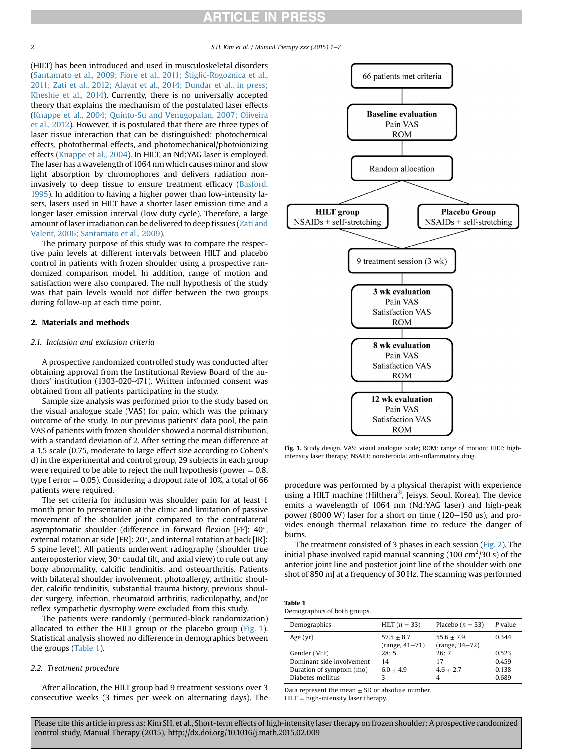2 S.H. Kim et al. / Manual Therapy  $xxx$  (2015) 1-7

(HILT) has been introduced and used in musculoskeletal disorders ([Santamato et al., 2009; Fiore et al., 2011;](#page-6-0) [Stigli](#page-6-0)c[-Rogoznica et al.,](#page-6-0) [2011; Zati et al., 2012; Alayat et al., 2014; Dundar et al., in press;](#page-6-0) [Kheshie et al., 2014\)](#page-6-0). Currently, there is no universally accepted theory that explains the mechanism of the postulated laser effects ([Knappe et al., 2004; Quinto-Su and Venugopalan, 2007; Oliveira](#page-5-0) [et al., 2012\)](#page-5-0). However, it is postulated that there are three types of laser tissue interaction that can be distinguished: photochemical effects, photothermal effects, and photomechanical/photoionizing effects ([Knappe et al., 2004](#page-5-0)). In HILT, an Nd:YAG laser is employed. The laser has a wavelength of 1064 nm which causes minor and slow light absorption by chromophores and delivers radiation noninvasively to deep tissue to ensure treatment efficacy ([Basford,](#page-5-0) [1995](#page-5-0)). In addition to having a higher power than low-intensity lasers, lasers used in HILT have a shorter laser emission time and a longer laser emission interval (low duty cycle). Therefore, a large amount of laser irradiation can be delivered to deep tissues ([Zati and](#page-6-0) [Valent, 2006; Santamato et al., 2009\)](#page-6-0).

The primary purpose of this study was to compare the respective pain levels at different intervals between HILT and placebo control in patients with frozen shoulder using a prospective randomized comparison model. In addition, range of motion and satisfaction were also compared. The null hypothesis of the study was that pain levels would not differ between the two groups during follow-up at each time point.

### 2. Materials and methods

### 2.1. Inclusion and exclusion criteria

A prospective randomized controlled study was conducted after obtaining approval from the Institutional Review Board of the authors' institution (1303-020-471). Written informed consent was obtained from all patients participating in the study.

Sample size analysis was performed prior to the study based on the visual analogue scale (VAS) for pain, which was the primary outcome of the study. In our previous patients' data pool, the pain VAS of patients with frozen shoulder showed a normal distribution, with a standard deviation of 2. After setting the mean difference at a 1.5 scale (0.75, moderate to large effect size according to Cohen's d) in the experimental and control group, 29 subjects in each group were required to be able to reject the null hypothesis (power  $= 0.8$ , type I error  $= 0.05$ ). Considering a dropout rate of 10%, a total of 66 patients were required.

The set criteria for inclusion was shoulder pain for at least 1 month prior to presentation at the clinic and limitation of passive movement of the shoulder joint compared to the contralateral asymptomatic shoulder (difference in forward flexion [FF]:  $40^{\circ}$ , external rotation at side [ER]: 20°, and internal rotation at back [IR]: 5 spine level). All patients underwent radiography (shoulder true anteroposterior view, 30 $^{\circ}$  caudal tilt, and axial view) to rule out any bony abnormality, calcific tendinitis, and osteoarthritis. Patients with bilateral shoulder involvement, photoallergy, arthritic shoulder, calcific tendinitis, substantial trauma history, previous shoulder surgery, infection, rheumatoid arthritis, radiculopathy, and/or reflex sympathetic dystrophy were excluded from this study.

The patients were randomly (permuted-block randomization) allocated to either the HILT group or the placebo group (Fig. 1). Statistical analysis showed no difference in demographics between the groups (Table 1).

### 2.2. Treatment procedure

After allocation, the HILT group had 9 treatment sessions over 3 consecutive weeks (3 times per week on alternating days). The



Fig. 1. Study design. VAS: visual analogue scale; ROM: range of motion; HILT: highintensity laser therapy; NSAID: nonsteroidal anti-inflammatory drug.

procedure was performed by a physical therapist with experience using a HILT machine (Hilthera®, Jeisys, Seoul, Korea). The device emits a wavelength of 1064 nm (Nd:YAG laser) and high-peak power (8000 W) laser for a short on time (120–150  $\mu$ s), and provides enough thermal relaxation time to reduce the danger of burns.

The treatment consisted of 3 phases in each session [\(Fig. 2](#page-2-0)). The initial phase involved rapid manual scanning (100 cm<sup>2</sup>/30 s) of the anterior joint line and posterior joint line of the shoulder with one shot of 850 mJ at a frequency of 30 Hz. The scanning was performed

| Table 1 |                              |
|---------|------------------------------|
|         | Demographics of both groups. |

| Demographics              | HILT $(n = 33)$                  | Placebo $(n = 33)$               | P value |
|---------------------------|----------------------------------|----------------------------------|---------|
| Age $(vr)$                | $57.5 + 8.7$<br>$(range, 41-71)$ | $55.6 + 7.9$<br>$(range, 34-72)$ | 0.344   |
| Gender (M:F)              | 28:5                             | 26:7                             | 0.523   |
| Dominant side involvement | 14                               | 17                               | 0.459   |
| Duration of symptom (mo)  | $6.0 \pm 4.9$                    | $4.6 + 2.7$                      | 0.138   |
| Diabetes mellitus         |                                  |                                  | 0.689   |

Data represent the mean  $\pm$  SD or absolute number.

 $HILT = high-intensity laser therapy.$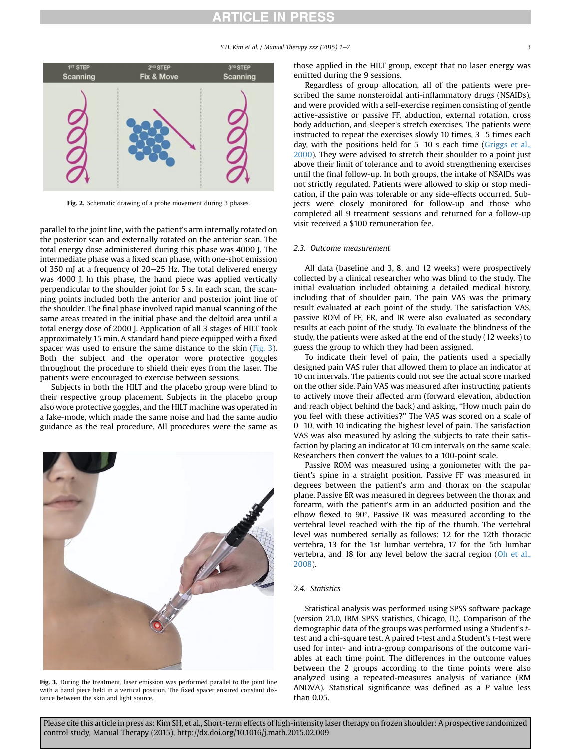S.H. Kim et al. / Manual Therapy xxx  $(2015)$  1-7 3

<span id="page-2-0"></span>

Fig. 2. Schematic drawing of a probe movement during 3 phases.

parallel to the joint line, with the patient's arm internally rotated on the posterior scan and externally rotated on the anterior scan. The total energy dose administered during this phase was 4000 J. The intermediate phase was a fixed scan phase, with one-shot emission of 350 mJ at a frequency of  $20-25$  Hz. The total delivered energy was 4000 J. In this phase, the hand piece was applied vertically perpendicular to the shoulder joint for 5 s. In each scan, the scanning points included both the anterior and posterior joint line of the shoulder. The final phase involved rapid manual scanning of the same areas treated in the initial phase and the deltoid area until a total energy dose of 2000 J. Application of all 3 stages of HILT took approximately 15 min. A standard hand piece equipped with a fixed spacer was used to ensure the same distance to the skin (Fig. 3). Both the subject and the operator wore protective goggles throughout the procedure to shield their eyes from the laser. The patients were encouraged to exercise between sessions.

Subjects in both the HILT and the placebo group were blind to their respective group placement. Subjects in the placebo group also wore protective goggles, and the HILT machine was operated in a fake-mode, which made the same noise and had the same audio guidance as the real procedure. All procedures were the same as



Fig. 3. During the treatment, laser emission was performed parallel to the joint line with a hand piece held in a vertical position. The fixed spacer ensured constant distance between the skin and light source.

those applied in the HILT group, except that no laser energy was emitted during the 9 sessions.

Regardless of group allocation, all of the patients were prescribed the same nonsteroidal anti-inflammatory drugs (NSAIDs), and were provided with a self-exercise regimen consisting of gentle active-assistive or passive FF, abduction, external rotation, cross body adduction, and sleeper's stretch exercises. The patients were instructed to repeat the exercises slowly 10 times,  $3-5$  times each day, with the positions held for  $5-10$  s each time ([Griggs et al.,](#page-5-0) [2000\)](#page-5-0). They were advised to stretch their shoulder to a point just above their limit of tolerance and to avoid strengthening exercises until the final follow-up. In both groups, the intake of NSAIDs was not strictly regulated. Patients were allowed to skip or stop medication, if the pain was tolerable or any side-effects occurred. Subjects were closely monitored for follow-up and those who completed all 9 treatment sessions and returned for a follow-up visit received a \$100 remuneration fee.

### 2.3. Outcome measurement

All data (baseline and 3, 8, and 12 weeks) were prospectively collected by a clinical researcher who was blind to the study. The initial evaluation included obtaining a detailed medical history, including that of shoulder pain. The pain VAS was the primary result evaluated at each point of the study. The satisfaction VAS, passive ROM of FF, ER, and IR were also evaluated as secondary results at each point of the study. To evaluate the blindness of the study, the patients were asked at the end of the study (12 weeks) to guess the group to which they had been assigned.

To indicate their level of pain, the patients used a specially designed pain VAS ruler that allowed them to place an indicator at 10 cm intervals. The patients could not see the actual score marked on the other side. Pain VAS was measured after instructing patients to actively move their affected arm (forward elevation, abduction and reach object behind the back) and asking, ''How much pain do you feel with these activities?'' The VAS was scored on a scale of  $0-10$ , with 10 indicating the highest level of pain. The satisfaction VAS was also measured by asking the subjects to rate their satisfaction by placing an indicator at 10 cm intervals on the same scale. Researchers then convert the values to a 100-point scale.

Passive ROM was measured using a goniometer with the patient's spine in a straight position. Passive FF was measured in degrees between the patient's arm and thorax on the scapular plane. Passive ER was measured in degrees between the thorax and forearm, with the patient's arm in an adducted position and the elbow flexed to  $90^\circ$ . Passive IR was measured according to the vertebral level reached with the tip of the thumb. The vertebral level was numbered serially as follows: 12 for the 12th thoracic vertebra, 13 for the 1st lumbar vertebra, 17 for the 5th lumbar vertebra, and 18 for any level below the sacral region [\(Oh et al.,](#page-6-0) [2008\)](#page-6-0).

### 2.4. Statistics

Statistical analysis was performed using SPSS software package (version 21.0, IBM SPSS statistics, Chicago, IL). Comparison of the demographic data of the groups was performed using a Student's ttest and a chi-square test. A paired t-test and a Student's t-test were used for inter- and intra-group comparisons of the outcome variables at each time point. The differences in the outcome values between the 2 groups according to the time points were also analyzed using a repeated-measures analysis of variance (RM ANOVA). Statistical significance was defined as a P value less than 0.05.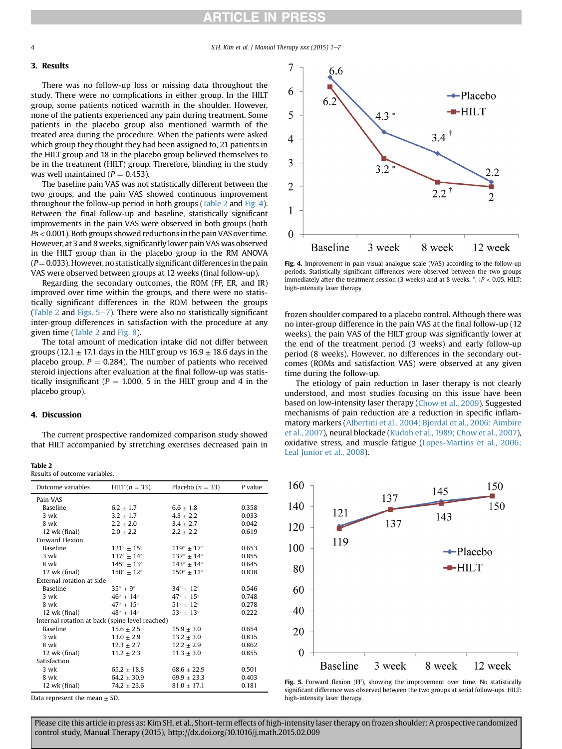### 3. Results

There was no follow-up loss or missing data throughout the study. There were no complications in either group. In the HILT group, some patients noticed warmth in the shoulder. However, none of the patients experienced any pain during treatment. Some patients in the placebo group also mentioned warmth of the treated area during the procedure. When the patients were asked which group they thought they had been assigned to, 21 patients in the HILT group and 18 in the placebo group believed themselves to be in the treatment (HILT) group. Therefore, blinding in the study was well maintained ( $P = 0.453$ ).

The baseline pain VAS was not statistically different between the two groups, and the pain VAS showed continuous improvement throughout the follow-up period in both groups (Table 2 and Fig. 4). Between the final follow-up and baseline, statistically significant improvements in the pain VAS were observed in both groups (both  $Ps < 0.001$ ). Both groups showed reductions in the pain VAS over time. However, at 3 and 8 weeks, significantly lower pain VAS was observed in the HILT group than in the placebo group in the RM ANOVA  $(P= 0.033)$ . However, no statistically significant differences in the pain VAS were observed between groups at 12 weeks (final follow-up).

Regarding the secondary outcomes, the ROM (FF, ER, and IR) improved over time within the groups, and there were no statistically significant differences in the ROM between the groups (Table 2 and Figs.  $5-7$ ). There were also no statistically significant inter-group differences in satisfaction with the procedure at any given time (Table 2 and [Fig. 8](#page-4-0)).

The total amount of medication intake did not differ between groups (12.1  $\pm$  17.1 days in the HILT group vs 16.9  $\pm$  18.6 days in the placebo group,  $P = 0.284$ ). The number of patients who received steroid injections after evaluation at the final follow-up was statistically insignificant ( $P = 1.000$ , 5 in the HILT group and 4 in the placebo group).

### 4. Discussion

The current prospective randomized comparison study showed that HILT accompanied by stretching exercises decreased pain in

|  | Results of outcome variables. |
|--|-------------------------------|
|  |                               |

| Outcome variables                               | HILT $(n = 33)$              | Placebo $(n = 33)$           | $P$ value |
|-------------------------------------------------|------------------------------|------------------------------|-----------|
| Pain VAS                                        |                              |                              |           |
| <b>Baseline</b>                                 | $6.2 \pm 1.7$                | $6.6 \pm 1.8$                | 0.358     |
| $3$ wk                                          | $3.2 \pm 1.7$                | $4.3 \pm 2.2$                | 0.033     |
| 8 wk                                            | $2.2 \pm 2.0$                | $3.4 + 2.7$                  | 0.042     |
| 12 wk (final)                                   | $2.0 \pm 2.2$                | $2.2 \pm 2.2$                | 0.619     |
| Forward Flexion                                 |                              |                              |           |
| <b>Baseline</b>                                 | $121^\circ \pm 15^\circ$     | $119^\circ \pm 17^\circ$     | 0.653     |
| $3$ wk                                          | $137^\circ \pm 14^\circ$     | $137^\circ \pm 14^\circ$     | 0.855     |
| 8 wk                                            | $145^{\circ} \pm 13^{\circ}$ | $143^\circ \pm 14^\circ$     | 0.645     |
| $12$ wk (final)                                 | $150^\circ \pm 12^\circ$     | $150^{\circ} \pm 11^{\circ}$ | 0.838     |
| External rotation at side                       |                              |                              |           |
| <b>Baseline</b>                                 | $35^{\circ} \pm 9^{\circ}$   | $34^{\circ} + 12^{\circ}$    | 0.546     |
| $3$ wk                                          | $46^\circ \pm 14^\circ$      | $47^{\circ} \pm 15^{\circ}$  | 0.748     |
| 8 wk                                            | $47^{\circ} \pm 15^{\circ}$  | $51^\circ \pm 12^\circ$      | 0.278     |
| $12$ wk (final)                                 | $48^\circ + 14^\circ$        | $53^\circ \pm 13^\circ$      | 0.222     |
| Internal rotation at back (spine level reached) |                              |                              |           |
| <b>Baseline</b>                                 | $15.6 \pm 2.5$               | $15.9 \pm 3.0$               | 0.654     |
| 3 wk                                            | $13.0 \pm 2.9$               | $13.2 \pm 3.0$               | 0.835     |
| 8 wk                                            | $12.3 \pm 2.7$               | $12.2 \pm 2.9$               | 0.862     |
| $12$ wk (final)                                 | $11.2 \pm 2.3$               | $11.3 + 3.0$                 | 0.855     |
| Satisfaction                                    |                              |                              |           |
| 3 wk                                            | $65.2 \pm 18.8$              | $68.6 \pm 22.9$              | 0.501     |
| 8 wk                                            | $64.2 \pm 30.9$              | $69.9 \pm 23.3$              | 0.403     |
| $12$ wk (final)                                 | $74.2 \pm 23.6$              | $81.0 \pm 17.1$              | 0.181     |

Data represent the mean  $\pm$  SD.



Fig. 4. Improvement in pain visual analogue scale (VAS) according to the follow-up periods. Statistically significant differences were observed between the two groups immediately after the treatment session (3 weeks) and at 8 weeks.  $\hat{p}$ ,  $\hat{p}$  < 0.05, HILT: high-intensity laser therapy.

frozen shoulder compared to a placebo control. Although there was no inter-group difference in the pain VAS at the final follow-up (12 weeks), the pain VAS of the HILT group was significantly lower at the end of the treatment period (3 weeks) and early follow-up period (8 weeks). However, no differences in the secondary outcomes (ROMs and satisfaction VAS) were observed at any given time during the follow-up.

The etiology of pain reduction in laser therapy is not clearly understood, and most studies focusing on this issue have been based on low-intensity laser therapy ([Chow et al., 2009\)](#page-5-0). Suggested mechanisms of pain reduction are a reduction in specific inflammatory markers ([Albertini et al., 2004; Bjordal et al., 2006; Aimbire](#page-5-0) [et al., 2007](#page-5-0)), neural blockade ([Kudoh et al., 1989; Chow et al., 2007\)](#page-6-0), oxidative stress, and muscle fatigue ([Lopes-Martins et al., 2006;](#page-6-0) [Leal Junior et al., 2008\)](#page-6-0).



Fig. 5. Forward flexion (FF), showing the improvement over time. No statistically significant difference was observed between the two groups at serial follow-ups. HILT: high-intensity laser therapy.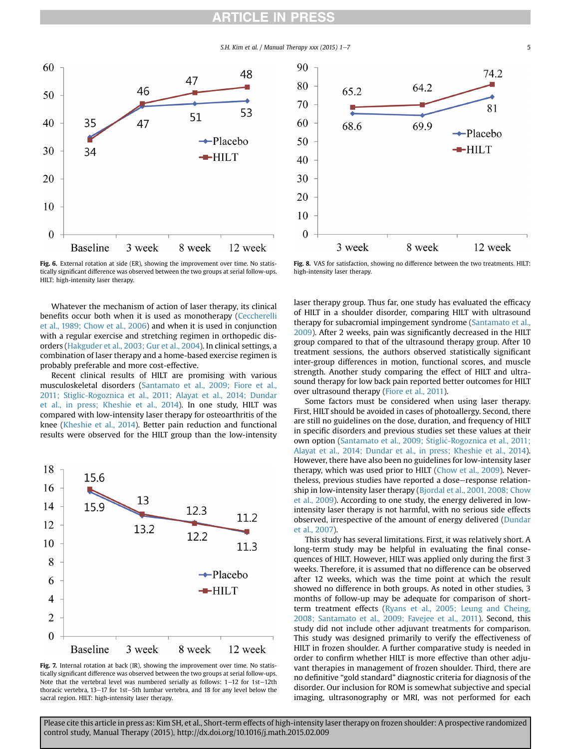S.H. Kim et al. / Manual Therapy xxx (2015)  $1-7$  5

<span id="page-4-0"></span>

Fig. 6. External rotation at side (ER), showing the improvement over time. No statistically significant difference was observed between the two groups at serial follow-ups. HILT: high-intensity laser therapy.

Whatever the mechanism of action of laser therapy, its clinical benefits occur both when it is used as monotherapy [\(Ceccherelli](#page-5-0) [et al., 1989; Chow et al., 2006](#page-5-0)) and when it is used in conjunction with a regular exercise and stretching regimen in orthopedic disorders [\(Hakguder et al., 2003; Gur et al., 2004\)](#page-5-0). In clinical settings, a combination of laser therapy and a home-based exercise regimen is probably preferable and more cost-effective.

Recent clinical results of HILT are promising with various musculoskeletal disorders [\(Santamato et al., 2009; Fiore et al.,](#page-6-0) [2011; Stiglic-Rogoznica et al., 2011; Alayat et al., 2014; Dundar](#page-6-0) [et al., in press; Kheshie et al., 2014](#page-6-0)). In one study, HILT was compared with low-intensity laser therapy for osteoarthritis of the knee [\(Kheshie et al., 2014](#page-5-0)). Better pain reduction and functional results were observed for the HILT group than the low-intensity



Fig. 7. Internal rotation at back (IR), showing the improvement over time. No statistically significant difference was observed between the two groups at serial follow-ups. Note that the vertebral level was numbered serially as follows:  $1-12$  for  $1st-12th$ thoracic vertebra,  $13-17$  for  $1st-5th$  lumbar vertebra, and 18 for any level below the sacral region. HILT: high-intensity laser therapy.



Fig. 8. VAS for satisfaction, showing no difference between the two treatments. HILT: high-intensity laser therapy.

laser therapy group. Thus far, one study has evaluated the efficacy of HILT in a shoulder disorder, comparing HILT with ultrasound therapy for subacromial impingement syndrome [\(Santamato et al.,](#page-6-0) [2009\)](#page-6-0). After 2 weeks, pain was significantly decreased in the HILT group compared to that of the ultrasound therapy group. After 10 treatment sessions, the authors observed statistically significant inter-group differences in motion, functional scores, and muscle strength. Another study comparing the effect of HILT and ultrasound therapy for low back pain reported better outcomes for HILT over ultrasound therapy ([Fiore et al., 2011](#page-5-0)).

Some factors must be considered when using laser therapy. First, HILT should be avoided in cases of photoallergy. Second, there are still no guidelines on the dose, duration, and frequency of HILT in specific disorders and previous studies set these values at their own option [\(Santamato et al., 2009;](#page-6-0) S[tigli](#page-6-0)c[-Rogoznica et al., 2011;](#page-6-0) [Alayat et al., 2014; Dundar et al., in press; Kheshie et al., 2014\)](#page-6-0). However, there have also been no guidelines for low-intensity laser therapy, which was used prior to HILT [\(Chow et al., 2009\)](#page-5-0). Nevertheless, previous studies have reported a dose-response relationship in low-intensity laser therapy ([Bjordal et al., 2001, 2008; Chow](#page-5-0) [et al., 2009\)](#page-5-0). According to one study, the energy delivered in lowintensity laser therapy is not harmful, with no serious side effects observed, irrespective of the amount of energy delivered [\(Dundar](#page-5-0) [et al., 2007](#page-5-0)).

This study has several limitations. First, it was relatively short. A long-term study may be helpful in evaluating the final consequences of HILT. However, HILT was applied only during the first 3 weeks. Therefore, it is assumed that no difference can be observed after 12 weeks, which was the time point at which the result showed no difference in both groups. As noted in other studies, 3 months of follow-up may be adequate for comparison of shortterm treatment effects [\(Ryans et al., 2005; Leung and Cheing,](#page-6-0) [2008; Santamato et al., 2009; Favejee et al., 2011](#page-6-0)). Second, this study did not include other adjuvant treatments for comparison. This study was designed primarily to verify the effectiveness of HILT in frozen shoulder. A further comparative study is needed in order to confirm whether HILT is more effective than other adjuvant therapies in management of frozen shoulder. Third, there are no definitive "gold standard" diagnostic criteria for diagnosis of the disorder. Our inclusion for ROM is somewhat subjective and special imaging, ultrasonography or MRI, was not performed for each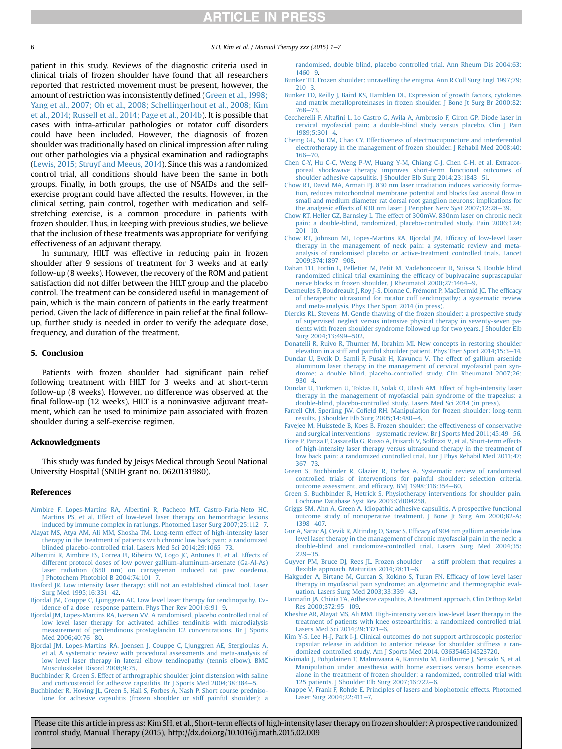<span id="page-5-0"></span>

6  $\,$  S.H. Kim et al. / Manual Therapy xxx (2015) 1-7

patient in this study. Reviews of the diagnostic criteria used in clinical trials of frozen shoulder have found that all researchers reported that restricted movement must be present, however, the amount of restriction was inconsistently defined (Green et al., 1998; Yang et al., 2007; Oh et al., 2008; Schellingerhout et al., 2008; Kim et al., 2014; Russell et al., 2014; Page et al., 2014b). It is possible that cases with intra-articular pathologies or rotator cuff disorders could have been included. However, the diagnosis of frozen shoulder was traditionally based on clinical impression after ruling out other pathologies via a physical examination and radiographs ([Lewis, 2015; Struyf and Meeus, 2014](#page-6-0)). Since this was a randomized control trial, all conditions should have been the same in both groups. Finally, in both groups, the use of NSAIDs and the selfexercise program could have affected the results. However, in the clinical setting, pain control, together with medication and selfstretching exercise, is a common procedure in patients with frozen shoulder. Thus, in keeping with previous studies, we believe that the inclusion of these treatments was appropriate for verifying effectiveness of an adjuvant therapy.

In summary, HILT was effective in reducing pain in frozen shoulder after 9 sessions of treatment for 3 weeks and at early follow-up (8 weeks). However, the recovery of the ROM and patient satisfaction did not differ between the HILT group and the placebo control. The treatment can be considered useful in management of pain, which is the main concern of patients in the early treatment period. Given the lack of difference in pain relief at the final followup, further study is needed in order to verify the adequate dose, frequency, and duration of the treatment.

### 5. Conclusion

Patients with frozen shoulder had significant pain relief following treatment with HILT for 3 weeks and at short-term follow-up (8 weeks). However, no difference was observed at the final follow-up (12 weeks). HILT is a noninvasive adjuvant treatment, which can be used to minimize pain associated with frozen shoulder during a self-exercise regimen.

### Acknowledgments

This study was funded by Jeisys Medical through Seoul National University Hospital (SNUH grant no. 0620131980).

### References

- [Aimbire F, Lopes-Martins RA, Albertini R, Pacheco MT, Castro-Faria-Neto HC,](http://refhub.elsevier.com/S1356-689X(15)00027-2/sref1) [Martins PS, et al. Effect of low-level laser therapy on hemorrhagic lesions](http://refhub.elsevier.com/S1356-689X(15)00027-2/sref1) [induced by immune complex in rat lungs. Photomed Laser Surg 2007;25:112](http://refhub.elsevier.com/S1356-689X(15)00027-2/sref1)-[7.](http://refhub.elsevier.com/S1356-689X(15)00027-2/sref1)
- [Alayat MS, Atya AM, Ali MM, Shosha TM. Long-term effect of high-intensity laser](http://refhub.elsevier.com/S1356-689X(15)00027-2/sref2) [therapy in the treatment of patients with chronic low back pain: a randomized](http://refhub.elsevier.com/S1356-689X(15)00027-2/sref2) [blinded placebo-controlled trial. Lasers Med Sci 2014;29:1065](http://refhub.elsevier.com/S1356-689X(15)00027-2/sref2)-[73](http://refhub.elsevier.com/S1356-689X(15)00027-2/sref2).
- [Albertini R, Aimbire FS, Correa FI, Ribeiro W, Cogo JC, Antunes E, et al. Effects of](http://refhub.elsevier.com/S1356-689X(15)00027-2/sref3) [different protocol doses of low power gallium-aluminum-arsenate \(Ga-Al-As\)](http://refhub.elsevier.com/S1356-689X(15)00027-2/sref3) [laser radiation \(650 nm\) on carrageenan induced rat paw ooedema.](http://refhub.elsevier.com/S1356-689X(15)00027-2/sref3) I Photochem Photobiol B  $2004:74:101-7$ .
- [Basford JR. Low intensity laser therapy: still not an established clinical tool. Laser](http://refhub.elsevier.com/S1356-689X(15)00027-2/sref4) Surg Med 1995:16:331-[42](http://refhub.elsevier.com/S1356-689X(15)00027-2/sref4).
- [Bjordal JM, Couppe C, Ljunggren AE. Low level laser therapy for tendinopathy. Ev](http://refhub.elsevier.com/S1356-689X(15)00027-2/sref5)[idence of a dose](http://refhub.elsevier.com/S1356-689X(15)00027-2/sref5)-response pattern. Phys Ther Rev  $2001;6:91-9$  $2001;6:91-9$  $2001;6:91-9$ .
- [Bjordal JM, Lopes-Martins RA, Iversen VV. A randomised, placebo controlled trial of](http://refhub.elsevier.com/S1356-689X(15)00027-2/sref6) [low level laser therapy for activated achilles tendinitis with microdialysis](http://refhub.elsevier.com/S1356-689X(15)00027-2/sref6) [measurement of peritendinous prostaglandin E2 concentrations. Br J Sports](http://refhub.elsevier.com/S1356-689X(15)00027-2/sref6) Med 2006:40:76-[80](http://refhub.elsevier.com/S1356-689X(15)00027-2/sref6).
- [Bjordal JM, Lopes-Martins RA, Joensen J, Couppe C, Ljunggren AE, Stergioulas A,](http://refhub.elsevier.com/S1356-689X(15)00027-2/sref7) [et al. A systematic review with procedural assessments and meta-analysis of](http://refhub.elsevier.com/S1356-689X(15)00027-2/sref7) [low level laser therapy in lateral elbow tendinopathy \(tennis elbow\). BMC](http://refhub.elsevier.com/S1356-689X(15)00027-2/sref7) [Musculoskelet Disord 2008;9:75.](http://refhub.elsevier.com/S1356-689X(15)00027-2/sref7)
- [Buchbinder R, Green S. Effect of arthrographic shoulder joint distension with saline](http://refhub.elsevier.com/S1356-689X(15)00027-2/sref8) [and corticosteroid for adhesive capsulitis. Br J Sports Med 2004;38:384](http://refhub.elsevier.com/S1356-689X(15)00027-2/sref8)-[5.](http://refhub.elsevier.com/S1356-689X(15)00027-2/sref8)
- [Buchbinder R, Hoving JL, Green S, Hall S, Forbes A, Nash P. Short course predniso](http://refhub.elsevier.com/S1356-689X(15)00027-2/sref9)[lone for adhesive capsulitis \(frozen shoulder or stiff painful shoulder\): a](http://refhub.elsevier.com/S1356-689X(15)00027-2/sref9)

[randomised, double blind, placebo controlled trial. Ann Rheum Dis 2004;63:](http://refhub.elsevier.com/S1356-689X(15)00027-2/sref9)  $1460 - 9$  $1460 - 9$  $1460 - 9$ 

- [Bunker TD. Frozen shoulder: unravelling the enigma. Ann R Coll Surg Engl 1997;79:](http://refhub.elsevier.com/S1356-689X(15)00027-2/sref10)  $210 - 3$  $210 - 3$  $210 - 3$ .
- [Bunker TD, Reilly J, Baird KS, Hamblen DL. Expression of growth factors, cytokines](http://refhub.elsevier.com/S1356-689X(15)00027-2/sref11) [and matrix metalloproteinases in frozen shoulder. J Bone Jt Surg Br 2000;82:](http://refhub.elsevier.com/S1356-689X(15)00027-2/sref11) [768](http://refhub.elsevier.com/S1356-689X(15)00027-2/sref11)-[73](http://refhub.elsevier.com/S1356-689X(15)00027-2/sref11).
- Ceccherelli F, Altafi[ni L, Lo Castro G, Avila A, Ambrosio F, Giron GP. Diode laser in](http://refhub.elsevier.com/S1356-689X(15)00027-2/sref12) [cervical myofascial pain: a double-blind study versus placebo. Clin J Pain](http://refhub.elsevier.com/S1356-689X(15)00027-2/sref12)  $1989:5:301-4.$  $1989:5:301-4.$  $1989:5:301-4.$
- [Cheing GL, So EM, Chao CY. Effectiveness of electroacupuncture and interferential](http://refhub.elsevier.com/S1356-689X(15)00027-2/sref13) [electrotherapy in the management of frozen shoulder. J Rehabil Med 2008;40:](http://refhub.elsevier.com/S1356-689X(15)00027-2/sref13)  $166 - 70$  $166 - 70$  $166 - 70$
- [Chen C-Y, Hu C-C, Weng P-W, Huang Y-M, Chiang C-J, Chen C-H, et al. Extracor](http://refhub.elsevier.com/S1356-689X(15)00027-2/sref14)[poreal shockwave therapy improves short-term functional outcomes of](http://refhub.elsevier.com/S1356-689X(15)00027-2/sref14) [shoulder adhesive capsulitis. J Shoulder Elb Surg 2014;23:1843](http://refhub.elsevier.com/S1356-689X(15)00027-2/sref14)–[51.](http://refhub.elsevier.com/S1356-689X(15)00027-2/sref14)
- [Chow RT, David MA, Armati PJ. 830 nm laser irradiation induces varicosity forma](http://refhub.elsevier.com/S1356-689X(15)00027-2/sref15)[tion, reduces mitochondrial membrane potential and blocks fast axonal](http://refhub.elsevier.com/S1356-689X(15)00027-2/sref15) flow in [small and medium diameter rat dorsal root ganglion neurons: implications for](http://refhub.elsevier.com/S1356-689X(15)00027-2/sref15) [the analgesic effects of 830 nm laser. J Peripher Nerv Syst 2007;12:28](http://refhub.elsevier.com/S1356-689X(15)00027-2/sref15)-[39](http://refhub.elsevier.com/S1356-689X(15)00027-2/sref15).
- [Chow RT, Heller GZ, Barnsley L. The effect of 300mW, 830nm laser on chronic neck](http://refhub.elsevier.com/S1356-689X(15)00027-2/sref16) [pain: a double-blind, randomized, placebo-controlled study. Pain 2006;124:](http://refhub.elsevier.com/S1356-689X(15)00027-2/sref16)  $201 - 10$  $201 - 10$  $201 - 10$ .
- [Chow RT, Johnson MI, Lopes-Martins RA, Bjordal JM. Ef](http://refhub.elsevier.com/S1356-689X(15)00027-2/sref17)ficacy of low-level laser [therapy in the management of neck pain: a systematic review and meta](http://refhub.elsevier.com/S1356-689X(15)00027-2/sref17)[analysis of randomised placebo or active-treatment controlled trials. Lancet](http://refhub.elsevier.com/S1356-689X(15)00027-2/sref17)  $2009:374:1897 - 908$  $2009:374:1897 - 908$
- [Dahan TH, Fortin L, Pelletier M, Petit M, Vadeboncoeur R, Suissa S. Double blind](http://refhub.elsevier.com/S1356-689X(15)00027-2/sref18) [randomized clinical trial examining the ef](http://refhub.elsevier.com/S1356-689X(15)00027-2/sref18)ficacy of bupivacaine suprascapular [nerve blocks in frozen shoulder. J Rheumatol 2000;27:1464](http://refhub.elsevier.com/S1356-689X(15)00027-2/sref18)-[9](http://refhub.elsevier.com/S1356-689X(15)00027-2/sref18).
- [Desmeules F, Boudreault J, Roy J-S, Dionne C, Fr](http://refhub.elsevier.com/S1356-689X(15)00027-2/sref19)é[mont P, MacDermid JC. The ef](http://refhub.elsevier.com/S1356-689X(15)00027-2/sref19)ficacy [of therapeutic ultrasound for rotator cuff tendinopathy: a systematic review](http://refhub.elsevier.com/S1356-689X(15)00027-2/sref19) [and meta-analysis. Phys Ther Sport 2014 \(in press\).](http://refhub.elsevier.com/S1356-689X(15)00027-2/sref19)
- [Diercks RL, Stevens M. Gentle thawing of the frozen shoulder: a prospective study](http://refhub.elsevier.com/S1356-689X(15)00027-2/sref20) [of supervised neglect versus intensive physical therapy in seventy-seven pa](http://refhub.elsevier.com/S1356-689X(15)00027-2/sref20)[tients with frozen shoulder syndrome followed up for two years. J Shoulder Elb](http://refhub.elsevier.com/S1356-689X(15)00027-2/sref20) [Surg 2004;13:499](http://refhub.elsevier.com/S1356-689X(15)00027-2/sref20)-[502.](http://refhub.elsevier.com/S1356-689X(15)00027-2/sref20)
- [Donatelli R, Ruivo R, Thurner M, Ibrahim MI. New concepts in restoring shoulder](http://refhub.elsevier.com/S1356-689X(15)00027-2/sref21) [elevation in a stiff and painful shoulder patient. Phys Ther Sport 2014;15:3](http://refhub.elsevier.com/S1356-689X(15)00027-2/sref21)-[14](http://refhub.elsevier.com/S1356-689X(15)00027-2/sref21).
- [Dundar U, Evcik D, Samli F, Pusak H, Kavuncu V. The effect of gallium arsenide](http://refhub.elsevier.com/S1356-689X(15)00027-2/sref22) [aluminum laser therapy in the management of cervical myofascial pain syn](http://refhub.elsevier.com/S1356-689X(15)00027-2/sref22)[drome: a double blind, placebo-controlled study. Clin Rheumatol 2007;26:](http://refhub.elsevier.com/S1356-689X(15)00027-2/sref22)  $930 - 4.$  $930 - 4.$  $930 - 4.$
- [Dundar U, Turkmen U, Toktas H, Solak O, Ulasli AM. Effect of high-intensity laser](http://refhub.elsevier.com/S1356-689X(15)00027-2/sref23) [therapy in the management of myofascial pain syndrome of the trapezius: a](http://refhub.elsevier.com/S1356-689X(15)00027-2/sref23) [double-blind, placebo-controlled study. Lasers Med Sci 2014 \(in press\).](http://refhub.elsevier.com/S1356-689X(15)00027-2/sref23)
- Farrell CM, Sperling JW, Cofi[eld RH. Manipulation for frozen shoulder: long-term](http://refhub.elsevier.com/S1356-689X(15)00027-2/sref24) [results. J Shoulder Elb Surg 2005;14:480](http://refhub.elsevier.com/S1356-689X(15)00027-2/sref24)-[4](http://refhub.elsevier.com/S1356-689X(15)00027-2/sref24).
- [Favejee M, Huisstede B, Koes B. Frozen shoulder: the effectiveness of conservative](http://refhub.elsevier.com/S1356-689X(15)00027-2/sref25) [and surgical interventions](http://refhub.elsevier.com/S1356-689X(15)00027-2/sref25)-[systematic review. Br J Sports Med 2011;45:49](http://refhub.elsevier.com/S1356-689X(15)00027-2/sref25)-[56](http://refhub.elsevier.com/S1356-689X(15)00027-2/sref25).
- [Fiore P, Panza F, Cassatella G, Russo A, Frisardi V, Solfrizzi V, et al. Short-term effects](http://refhub.elsevier.com/S1356-689X(15)00027-2/sref26) [of high-intensity laser therapy versus ultrasound therapy in the treatment of](http://refhub.elsevier.com/S1356-689X(15)00027-2/sref26) [low back pain: a randomized controlled trial. Eur J Phys Rehabil Med 2011;47:](http://refhub.elsevier.com/S1356-689X(15)00027-2/sref26)  $367 - 73$  $367 - 73$  $367 - 73$ .
- [Green S, Buchbinder R, Glazier R, Forbes A. Systematic review of randomised](http://refhub.elsevier.com/S1356-689X(15)00027-2/sref27) [controlled trials of interventions for painful shoulder: selection criteria,](http://refhub.elsevier.com/S1356-689X(15)00027-2/sref27) [outcome assessment, and ef](http://refhub.elsevier.com/S1356-689X(15)00027-2/sref27)ficacy. BMJ 1998;316:354-[60.](http://refhub.elsevier.com/S1356-689X(15)00027-2/sref27)
- [Green S, Buchbinder R, Hetrick S. Physiotherapy interventions for shoulder pain.](http://refhub.elsevier.com/S1356-689X(15)00027-2/sref28) [Cochrane Database Syst Rev 2003:Cd004258](http://refhub.elsevier.com/S1356-689X(15)00027-2/sref28).
- [Griggs SM, Ahn A, Green A. Idiopathic adhesive capsulitis. A prospective functional](http://refhub.elsevier.com/S1356-689X(15)00027-2/sref29) [outcome study of nonoperative treatment. J Bone Jt Surg Am 2000;82-A:](http://refhub.elsevier.com/S1356-689X(15)00027-2/sref29) [1398](http://refhub.elsevier.com/S1356-689X(15)00027-2/sref29)-[407.](http://refhub.elsevier.com/S1356-689X(15)00027-2/sref29)
- [Gur A, Sarac AJ, Cevik R, Altindag O, Sarac S. Ef](http://refhub.elsevier.com/S1356-689X(15)00027-2/sref30)ficacy of 904 nm gallium arsenide low [level laser therapy in the management of chronic myofascial pain in the neck: a](http://refhub.elsevier.com/S1356-689X(15)00027-2/sref30) [double-blind and randomize-controlled trial. Lasers Surg Med 2004;35:](http://refhub.elsevier.com/S1356-689X(15)00027-2/sref30)  $229 - 35.$  $229 - 35.$  $229 - 35.$
- [Guyver PM, Bruce DJ, Rees JL. Frozen shoulder](http://refhub.elsevier.com/S1356-689X(15)00027-2/sref31)  $-$  [a stiff problem that requires a](http://refhub.elsevier.com/S1356-689X(15)00027-2/sref31) fl[exible approach. Maturitas 2014;78:11](http://refhub.elsevier.com/S1356-689X(15)00027-2/sref31)-[6](http://refhub.elsevier.com/S1356-689X(15)00027-2/sref31).
- [Hakguder A, Birtane M, Gurcan S, Kokino S, Turan FN. Ef](http://refhub.elsevier.com/S1356-689X(15)00027-2/sref32)ficacy of low level laser [therapy in myofascial pain syndrome: an algometric and thermographic eval](http://refhub.elsevier.com/S1356-689X(15)00027-2/sref32)[uation. Lasers Surg Med 2003;33:339](http://refhub.elsevier.com/S1356-689X(15)00027-2/sref32)-[43.](http://refhub.elsevier.com/S1356-689X(15)00027-2/sref32)
- Hannafi[n JA, Chiaia TA. Adhesive capsulitis. A treatment approach. Clin Orthop Relat](http://refhub.elsevier.com/S1356-689X(15)00027-2/sref33) [Res 2000;372:95](http://refhub.elsevier.com/S1356-689X(15)00027-2/sref33)-[109.](http://refhub.elsevier.com/S1356-689X(15)00027-2/sref33)
- [Kheshie AR, Alayat MS, Ali MM. High-intensity versus low-level laser therapy in the](http://refhub.elsevier.com/S1356-689X(15)00027-2/sref34) [treatment of patients with knee osteoarthritis: a randomized controlled trial.](http://refhub.elsevier.com/S1356-689X(15)00027-2/sref34) [Lasers Med Sci 2014;29:1371](http://refhub.elsevier.com/S1356-689X(15)00027-2/sref34)-[6](http://refhub.elsevier.com/S1356-689X(15)00027-2/sref34).
- [Kim Y-S, Lee H-J, Park I-J. Clinical outcomes do not support arthroscopic posterior](http://refhub.elsevier.com/S1356-689X(15)00027-2/sref35) [capsular release in addition to anterior release for shoulder stiffness a ran](http://refhub.elsevier.com/S1356-689X(15)00027-2/sref35)[domized controlled study. Am J Sports Med 2014. 0363546514523720](http://refhub.elsevier.com/S1356-689X(15)00027-2/sref35).
- [Kivimaki J, Pohjolainen T, Malmivaara A, Kannisto M, Guillaume J, Seitsalo S, et al.](http://refhub.elsevier.com/S1356-689X(15)00027-2/sref36) [Manipulation under anesthesia with home exercises versus home exercises](http://refhub.elsevier.com/S1356-689X(15)00027-2/sref36) [alone in the treatment of frozen shoulder: a randomized, controlled trial with](http://refhub.elsevier.com/S1356-689X(15)00027-2/sref36) 125 patients. J Shoulder Elb Surg  $2007;16:722-6$  $2007;16:722-6$  $2007;16:722-6$ .
- [Knappe V, Frank F, Rohde E. Principles of lasers and biophotonic effects. Photomed](http://refhub.elsevier.com/S1356-689X(15)00027-2/sref37) [Laser Surg 2004;22:411](http://refhub.elsevier.com/S1356-689X(15)00027-2/sref37)-[7.](http://refhub.elsevier.com/S1356-689X(15)00027-2/sref37)